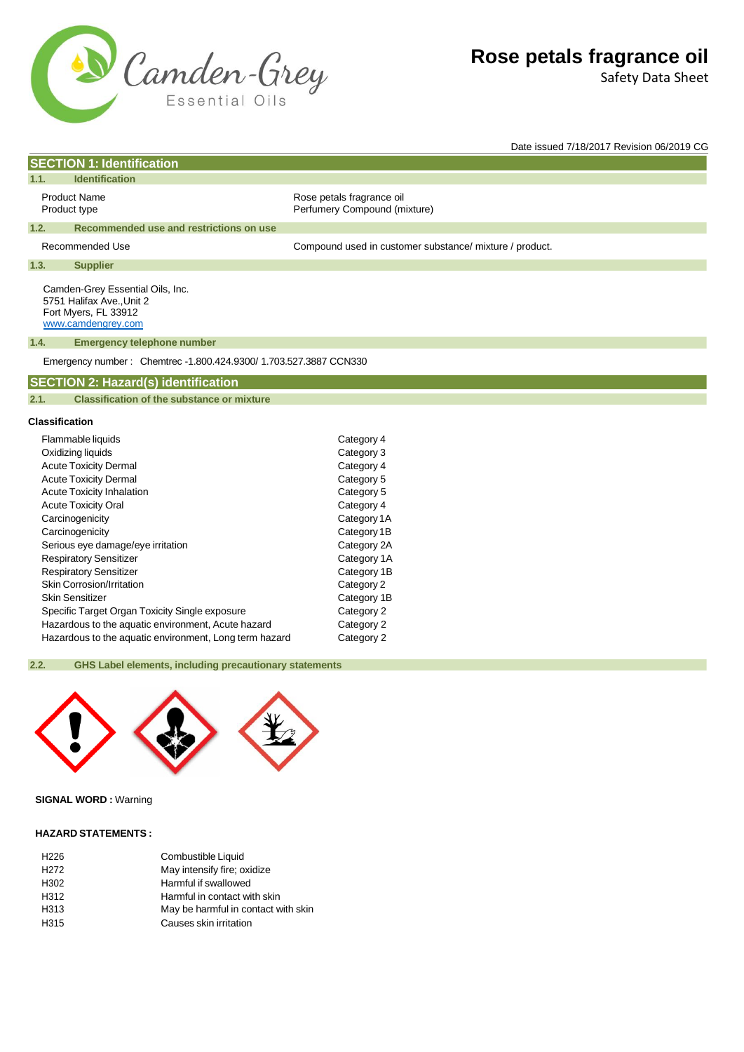

Safety Data Sheet

Date issued 7/18/2017 Revision 06/2019 CG

# Product Name **Rose** petals fragrance oil Product type **Product type Accord Perfumery Compound (mixture)** Recommended Use example and the Compound used in customer substance/ mixture / product. **1.1. Identification 1.2. Recommended use and restrictions on use 1.3. Supplier**

Camden-Grey Essential Oils, Inc. 5751 Halifax Ave.,Unit 2 Fort Myers, FL 33912 [www.camdengrey.com](http://www.camdengrey.com/)

**SECTION 1: Identification**

#### **1.4. Emergency telephone number**

Emergency number : Chemtrec -1.800.424.9300/ 1.703.527.3887 CCN330

### **SECTION 2: Hazard(s) identification**

**2.1. Classification of the substance or mixture**

#### **Classification**

| Flammable liquids                                      | Category 4  |
|--------------------------------------------------------|-------------|
| Oxidizing liquids                                      | Category 3  |
| <b>Acute Toxicity Dermal</b>                           | Category 4  |
| <b>Acute Toxicity Dermal</b>                           | Category 5  |
| <b>Acute Toxicity Inhalation</b>                       | Category 5  |
| <b>Acute Toxicity Oral</b>                             | Category 4  |
| Carcinogenicity                                        | Category 1A |
| Carcinogenicity                                        | Category 1B |
| Serious eye damage/eye irritation                      | Category 2A |
| <b>Respiratory Sensitizer</b>                          | Category 1A |
| <b>Respiratory Sensitizer</b>                          | Category 1B |
| <b>Skin Corrosion/Irritation</b>                       | Category 2  |
| Skin Sensitizer                                        | Category 1B |
| Specific Target Organ Toxicity Single exposure         | Category 2  |
| Hazardous to the aquatic environment, Acute hazard     | Category 2  |
| Hazardous to the aquatic environment, Long term hazard | Category 2  |

#### **2.2. GHS Label elements, including precautionary statements**



# **SIGNAL WORD :** Warning

#### **HAZARD STATEMENTS :**

| H <sub>226</sub> | Combustible Liquid                  |
|------------------|-------------------------------------|
| H <sub>272</sub> | May intensify fire; oxidize         |
| H <sub>302</sub> | Harmful if swallowed                |
| H312             | Harmful in contact with skin        |
| H313             | May be harmful in contact with skin |
| H <sub>315</sub> | Causes skin irritation              |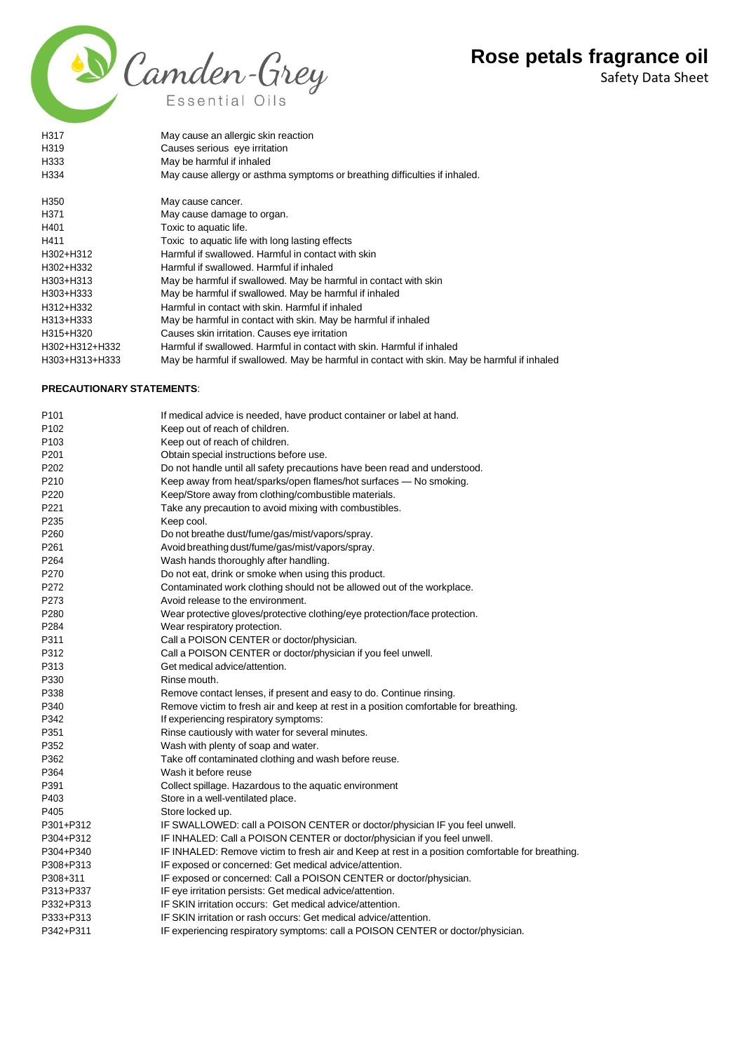Safety Data Sheet



| H317                             | May cause an allergic skin reaction                                                         |
|----------------------------------|---------------------------------------------------------------------------------------------|
| H <sub>319</sub>                 | Causes serious eye irritation                                                               |
| H333                             | May be harmful if inhaled                                                                   |
| H334                             | May cause allergy or asthma symptoms or breathing difficulties if inhaled.                  |
| H350                             | May cause cancer.                                                                           |
| H <sub>371</sub>                 | May cause damage to organ.                                                                  |
| H401                             | Toxic to aquatic life.                                                                      |
| H411                             | Toxic to aquatic life with long lasting effects                                             |
| H302+H312                        | Harmful if swallowed. Harmful in contact with skin                                          |
| H302+H332                        | Harmful if swallowed. Harmful if inhaled                                                    |
| H303+H313                        | May be harmful if swallowed. May be harmful in contact with skin                            |
| H303+H333                        | May be harmful if swallowed. May be harmful if inhaled                                      |
| H312+H332                        | Harmful in contact with skin. Harmful if inhaled                                            |
| H313+H333                        | May be harmful in contact with skin. May be harmful if inhaled                              |
| H315+H320                        | Causes skin irritation. Causes eye irritation                                               |
| H302+H312+H332                   | Harmful if swallowed. Harmful in contact with skin. Harmful if inhaled                      |
| H303+H313+H333                   | May be harmful if swallowed. May be harmful in contact with skin. May be harmful if inhaled |
| <b>PRECAUTIONARY STATEMENTS:</b> |                                                                                             |
|                                  |                                                                                             |

| P <sub>101</sub> | If medical advice is needed, have product container or label at hand.                            |
|------------------|--------------------------------------------------------------------------------------------------|
| P <sub>102</sub> | Keep out of reach of children.                                                                   |
| P <sub>103</sub> | Keep out of reach of children.                                                                   |
| P201             | Obtain special instructions before use.                                                          |
| P <sub>202</sub> | Do not handle until all safety precautions have been read and understood.                        |
| P210             | Keep away from heat/sparks/open flames/hot surfaces - No smoking.                                |
| P220             | Keep/Store away from clothing/combustible materials.                                             |
| P221             | Take any precaution to avoid mixing with combustibles.                                           |
| P235             | Keep cool.                                                                                       |
| P260             | Do not breathe dust/fume/gas/mist/vapors/spray.                                                  |
| P261             | Avoid breathing dust/fume/gas/mist/vapors/spray.                                                 |
| P <sub>264</sub> | Wash hands thoroughly after handling.                                                            |
| P270             | Do not eat, drink or smoke when using this product.                                              |
| P272             | Contaminated work clothing should not be allowed out of the workplace.                           |
| P273             | Avoid release to the environment.                                                                |
| P280             | Wear protective gloves/protective clothing/eye protection/face protection.                       |
| P <sub>284</sub> | Wear respiratory protection.                                                                     |
| P311             | Call a POISON CENTER or doctor/physician.                                                        |
| P312             | Call a POISON CENTER or doctor/physician if you feel unwell.                                     |
| P313             | Get medical advice/attention.                                                                    |
| P330             | Rinse mouth.                                                                                     |
| P338             | Remove contact lenses, if present and easy to do. Continue rinsing.                              |
| P340             | Remove victim to fresh air and keep at rest in a position comfortable for breathing.             |
| P342             | If experiencing respiratory symptoms:                                                            |
| P351             | Rinse cautiously with water for several minutes.                                                 |
| P352             | Wash with plenty of soap and water.                                                              |
| P362             | Take off contaminated clothing and wash before reuse.                                            |
| P364             | Wash it before reuse                                                                             |
| P391             | Collect spillage. Hazardous to the aquatic environment                                           |
| P403             | Store in a well-ventilated place.                                                                |
| P405             | Store locked up.                                                                                 |
| P301+P312        | IF SWALLOWED: call a POISON CENTER or doctor/physician IF you feel unwell.                       |
| P304+P312        | IF INHALED: Call a POISON CENTER or doctor/physician if you feel unwell.                         |
| P304+P340        | IF INHALED: Remove victim to fresh air and Keep at rest in a position comfortable for breathing. |
| P308+P313        | IF exposed or concerned: Get medical advice/attention.                                           |
| P308+311         | IF exposed or concerned: Call a POISON CENTER or doctor/physician.                               |
| P313+P337        | IF eye irritation persists: Get medical advice/attention.                                        |
| P332+P313        | IF SKIN irritation occurs: Get medical advice/attention.                                         |
| P333+P313        | IF SKIN irritation or rash occurs: Get medical advice/attention.                                 |
| P342+P311        | IF experiencing respiratory symptoms: call a POISON CENTER or doctor/physician.                  |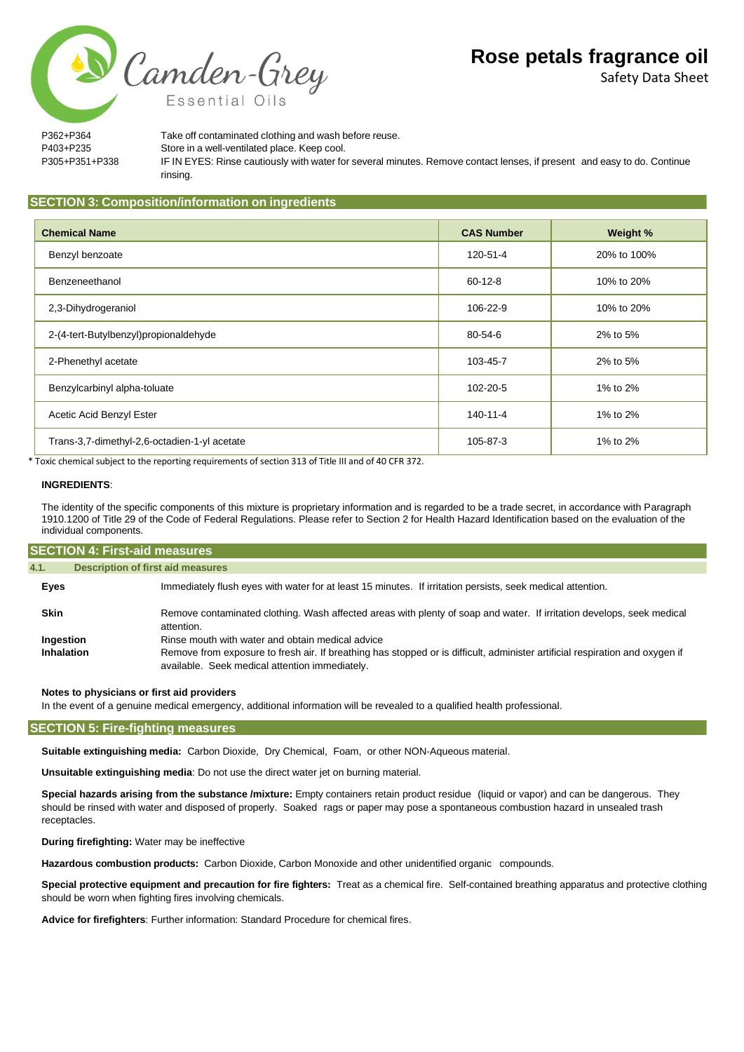Safety Data Sheet

P362+P364 Take off contaminated clothing and wash before reuse. P403+P235 Store in a well-ventilated place. Keep cool. P305+P351+P338 IF IN EYES: Rinse cautiously with water for several minutes. Remove contact lenses, if present and easy to do. Continue rinsing.

## **SECTION 3: Composition/information on ingredients**

Camden-Grey

Essential Oils

| <b>Chemical Name</b>                         | <b>CAS Number</b> | Weight %    |
|----------------------------------------------|-------------------|-------------|
| Benzyl benzoate                              | 120-51-4          | 20% to 100% |
| Benzeneethanol                               | $60 - 12 - 8$     | 10% to 20%  |
| 2,3-Dihydrogeraniol                          | 106-22-9          | 10% to 20%  |
| 2-(4-tert-Butylbenzyl)propionaldehyde        | $80 - 54 - 6$     | 2% to 5%    |
| 2-Phenethyl acetate                          | 103-45-7          | 2% to 5%    |
| Benzylcarbinyl alpha-toluate                 | 102-20-5          | 1% to 2%    |
| Acetic Acid Benzyl Ester                     | 140-11-4          | 1% to 2%    |
| Trans-3,7-dimethyl-2,6-octadien-1-yl acetate | 105-87-3          | 1% to 2%    |

\* Toxic chemical subject to the reporting requirements of section 313 of Title III and of 40 CFR 372.

#### **INGREDIENTS**:

The identity of the specific components of this mixture is proprietary information and is regarded to be a trade secret, in accordance with Paragraph 1910.1200 of Title 29 of the Code of Federal Regulations. Please refer to Section 2 for Health Hazard Identification based on the evaluation of the individual components.

| <b>SECTION 4: First-aid measures</b> |                                                                                                                                                                                |
|--------------------------------------|--------------------------------------------------------------------------------------------------------------------------------------------------------------------------------|
| 4.1.                                 | <b>Description of first aid measures</b>                                                                                                                                       |
| Eyes                                 | Immediately flush eyes with water for at least 15 minutes. If irritation persists, seek medical attention.                                                                     |
| <b>Skin</b>                          | Remove contaminated clothing. Wash affected areas with plenty of soap and water. If irritation develops, seek medical<br>attention.                                            |
| Ingestion                            | Rinse mouth with water and obtain medical advice                                                                                                                               |
| Inhalation                           | Remove from exposure to fresh air. If breathing has stopped or is difficult, administer artificial respiration and oxygen if<br>available. Seek medical attention immediately. |

#### **Notes to physicians or first aid providers**

In the event of a genuine medical emergency, additional information will be revealed to a qualified health professional.

#### **SECTION 5: Fire-fighting measures**

**Suitable extinguishing media:** Carbon Dioxide, Dry Chemical, Foam, or other NON-Aqueous material.

**Unsuitable extinguishing media**: Do not use the direct water jet on burning material.

**Special hazards arising from the substance /mixture:** Empty containers retain product residue (liquid or vapor) and can be dangerous. They should be rinsed with water and disposed of properly. Soaked rags or paper may pose a spontaneous combustion hazard in unsealed trash receptacles.

**During firefighting:** Water may be ineffective

**Hazardous combustion products:** Carbon Dioxide, Carbon Monoxide and other unidentified organic compounds.

**Special protective equipment and precaution for fire fighters:** Treat as a chemical fire. Self-contained breathing apparatus and protective clothing should be worn when fighting fires involving chemicals.

**Advice for firefighters**: Further information: Standard Procedure for chemical fires.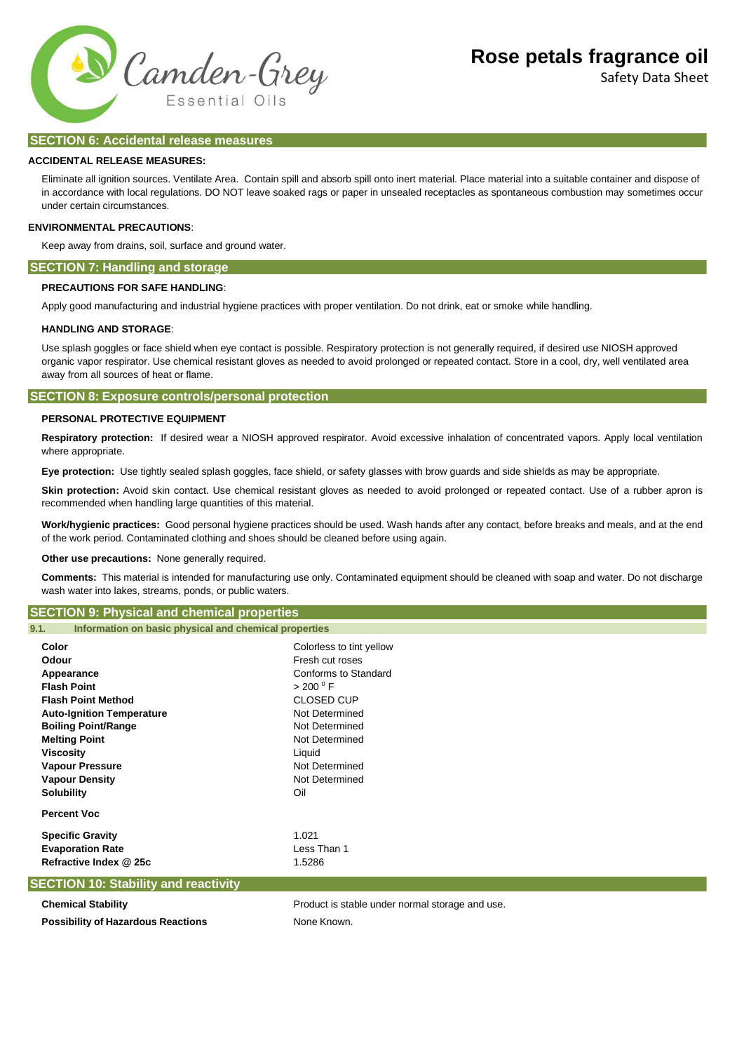

Safety Data Sheet

### **SECTION 6: Accidental release measures**

#### **ACCIDENTAL RELEASE MEASURES:**

Eliminate all ignition sources. Ventilate Area. Contain spill and absorb spill onto inert material. Place material into a suitable container and dispose of in accordance with local regulations. DO NOT leave soaked rags or paper in unsealed receptacles as spontaneous combustion may sometimes occur under certain circumstances.

#### **ENVIRONMENTAL PRECAUTIONS**:

Keep away from drains, soil, surface and ground water.

### **SECTION 7: Handling and storage**

#### **PRECAUTIONS FOR SAFE HANDLING**:

Apply good manufacturing and industrial hygiene practices with proper ventilation. Do not drink, eat or smoke while handling.

#### **HANDLING AND STORAGE**:

Use splash goggles or face shield when eye contact is possible. Respiratory protection is not generally required, if desired use NIOSH approved organic vapor respirator. Use chemical resistant gloves as needed to avoid prolonged or repeated contact. Store in a cool, dry, well ventilated area away from all sources of heat or flame.

#### **SECTION 8: Exposure controls/personal protection**

#### **PERSONAL PROTECTIVE EQUIPMENT**

**Respiratory protection:** If desired wear a NIOSH approved respirator. Avoid excessive inhalation of concentrated vapors. Apply local ventilation where appropriate.

**Eye protection:** Use tightly sealed splash goggles, face shield, or safety glasses with brow guards and side shields as may be appropriate.

Skin protection: Avoid skin contact. Use chemical resistant gloves as needed to avoid prolonged or repeated contact. Use of a rubber apron is recommended when handling large quantities of this material.

**Work/hygienic practices:** Good personal hygiene practices should be used. Wash hands after any contact, before breaks and meals, and at the end of the work period. Contaminated clothing and shoes should be cleaned before using again.

**Other use precautions:** None generally required.

**Comments:** This material is intended for manufacturing use only. Contaminated equipment should be cleaned with soap and water. Do not discharge wash water into lakes, streams, ponds, or public waters.

# **SECTION 9: Physical and chemical properties**

| Information on basic physical and chemical properties | 9.1. |  |  |  |  |  |
|-------------------------------------------------------|------|--|--|--|--|--|
|-------------------------------------------------------|------|--|--|--|--|--|

| Colorless to tint yellow                        |
|-------------------------------------------------|
| Fresh cut roses                                 |
| Conforms to Standard                            |
| > 200 °F                                        |
| <b>CLOSED CUP</b>                               |
| Not Determined                                  |
| Not Determined                                  |
| Not Determined                                  |
| Liquid                                          |
| Not Determined                                  |
| Not Determined                                  |
| Oil                                             |
|                                                 |
| 1.021                                           |
| Less Than 1                                     |
| 1.5286                                          |
|                                                 |
| Product is stable under normal storage and use. |
| None Known.                                     |
|                                                 |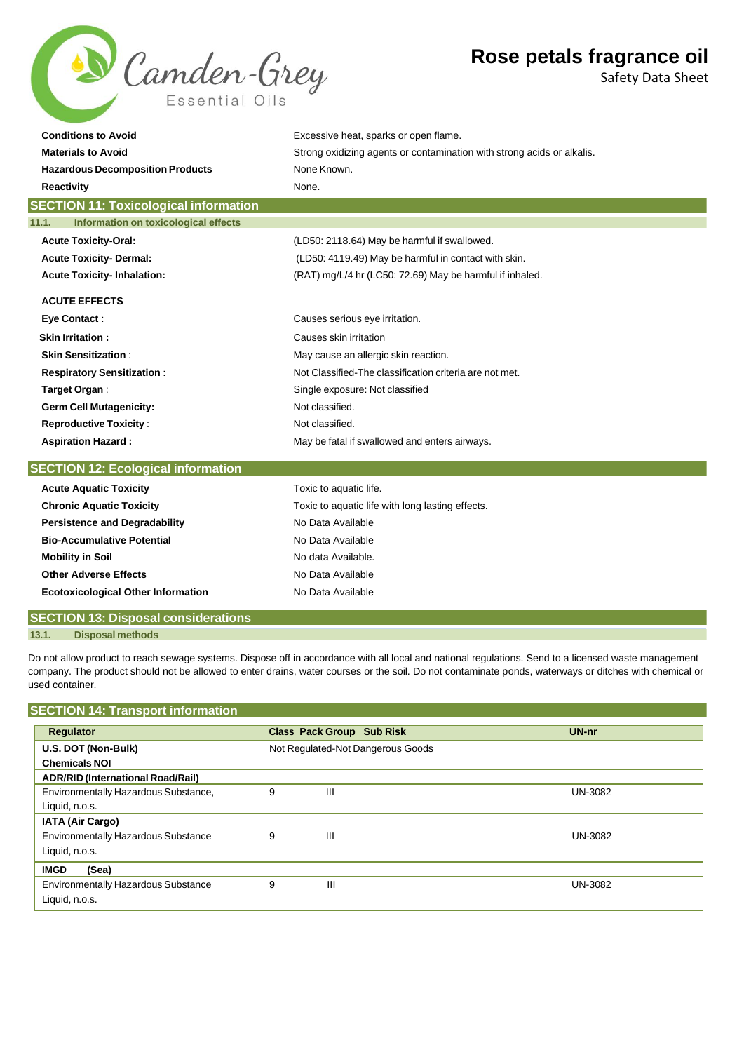

Safety Data Sheet

| <b>Conditions to Avoid</b>                    | Excessive heat, sparks or open flame.                                  |
|-----------------------------------------------|------------------------------------------------------------------------|
| <b>Materials to Avoid</b>                     | Strong oxidizing agents or contamination with strong acids or alkalis. |
| <b>Hazardous Decomposition Products</b>       | None Known.                                                            |
| <b>Reactivity</b>                             | None.                                                                  |
| <b>SECTION 11: Toxicological information</b>  |                                                                        |
| Information on toxicological effects<br>11.1. |                                                                        |
| <b>Acute Toxicity-Oral:</b>                   | (LD50: 2118.64) May be harmful if swallowed.                           |
| <b>Acute Toxicity-Dermal:</b>                 | (LD50: 4119.49) May be harmful in contact with skin.                   |
| <b>Acute Toxicity-Inhalation:</b>             | (RAT) mg/L/4 hr (LC50: 72.69) May be harmful if inhaled.               |
| <b>ACUTE EFFECTS</b>                          |                                                                        |
| <b>Eye Contact:</b>                           | Causes serious eye irritation.                                         |
| <b>Skin Irritation:</b>                       | Causes skin irritation                                                 |
| <b>Skin Sensitization:</b>                    | May cause an allergic skin reaction.                                   |
| <b>Respiratory Sensitization:</b>             | Not Classified-The classification criteria are not met.                |
| Target Organ:                                 | Single exposure: Not classified                                        |
| <b>Germ Cell Mutagenicity:</b>                | Not classified.                                                        |
| <b>Reproductive Toxicity:</b>                 | Not classified.                                                        |
| <b>Aspiration Hazard:</b>                     | May be fatal if swallowed and enters airways.                          |
| <b>SECTION 12: Ecological information</b>     |                                                                        |

| <b>Acute Aquatic Toxicity</b>              | Toxic to aquatic life.                           |
|--------------------------------------------|--------------------------------------------------|
| <b>Chronic Aquatic Toxicity</b>            | Toxic to aquatic life with long lasting effects. |
| <b>Persistence and Degradability</b>       | No Data Available                                |
| <b>Bio-Accumulative Potential</b>          | No Data Available                                |
| <b>Mobility in Soil</b>                    | No data Available.                               |
| <b>Other Adverse Effects</b>               | No Data Available                                |
| <b>Ecotoxicological Other Information</b>  | No Data Available                                |
| <b>SECTION 13: Disposal considerations</b> |                                                  |

#### **13.1. Disposal methods**

Do not allow product to reach sewage systems. Dispose off in accordance with all local and national regulations. Send to a licensed waste management company. The product should not be allowed to enter drains, water courses or the soil. Do not contaminate ponds, waterways or ditches with chemical or used container.

# **SECTION 14: Transport information**

| Regulator                                  |   | <b>Class Pack Group Sub Risk</b>  | UN-nr          |
|--------------------------------------------|---|-----------------------------------|----------------|
| U.S. DOT (Non-Bulk)                        |   | Not Regulated-Not Dangerous Goods |                |
| <b>Chemicals NOI</b>                       |   |                                   |                |
| <b>ADR/RID (International Road/Rail)</b>   |   |                                   |                |
| Environmentally Hazardous Substance,       | 9 | Ш                                 | UN-3082        |
| Liquid, n.o.s.                             |   |                                   |                |
| <b>IATA (Air Cargo)</b>                    |   |                                   |                |
| <b>Environmentally Hazardous Substance</b> | 9 | Ш                                 | UN-3082        |
| Liquid, n.o.s.                             |   |                                   |                |
| <b>IMGD</b><br>(Sea)                       |   |                                   |                |
| <b>Environmentally Hazardous Substance</b> | 9 | Ш                                 | <b>UN-3082</b> |
| Liquid, n.o.s.                             |   |                                   |                |